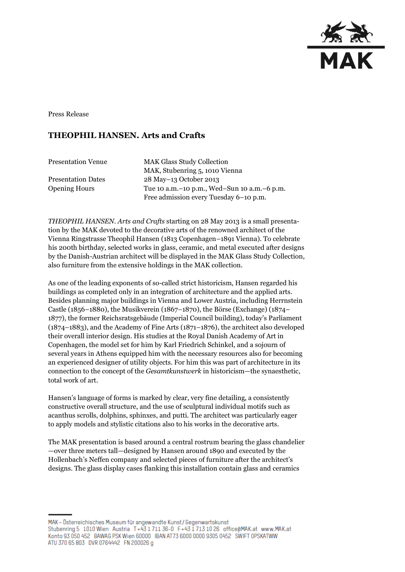

Press Release

## **THEOPHIL HANSEN. Arts and Crafts**

| <b>Presentation Venue</b> | <b>MAK Glass Study Collection</b>               |
|---------------------------|-------------------------------------------------|
|                           | MAK, Stubenring 5, 1010 Vienna                  |
| <b>Presentation Dates</b> | 28 May-13 October 2013                          |
| <b>Opening Hours</b>      | Tue 10 a.m. - 10 p.m., Wed-Sun 10 a.m. - 6 p.m. |
|                           | Free admission every Tuesday 6-10 p.m.          |

*THEOPHIL HANSEN. Arts and Crafts* starting on 28 May 2013 is a small presentation by the MAK devoted to the decorative arts of the renowned architect of the Vienna Ringstrasse Theophil Hansen (1813 Copenhagen–1891 Vienna). To celebrate his 200th birthday, selected works in glass, ceramic, and metal executed after designs by the Danish-Austrian architect will be displayed in the MAK Glass Study Collection, also furniture from the extensive holdings in the MAK collection.

As one of the leading exponents of so-called strict historicism, Hansen regarded his buildings as completed only in an integration of architecture and the applied arts. Besides planning major buildings in Vienna and Lower Austria, including Herrnstein Castle (1856–1880), the Musikverein (1867–1870), the Börse (Exchange) (1874– 1877), the former Reichsratsgebäude (Imperial Council building), today's Parliament (1874–1883), and the Academy of Fine Arts (1871–1876), the architect also developed their overall interior design. His studies at the Royal Danish Academy of Art in Copenhagen, the model set for him by Karl Friedrich Schinkel, and a sojourn of several years in Athens equipped him with the necessary resources also for becoming an experienced designer of utility objects. For him this was part of architecture in its connection to the concept of the *Gesamtkunstwerk* in historicism—the synaesthetic, total work of art.

Hansen's language of forms is marked by clear, very fine detailing, a consistently constructive overall structure, and the use of sculptural individual motifs such as acanthus scrolls, dolphins, sphinxes, and putti. The architect was particularly eager to apply models and stylistic citations also to his works in the decorative arts.

The MAK presentation is based around a central rostrum bearing the glass chandelier —over three meters tall—designed by Hansen around 1890 and executed by the Hollenbach's Neffen company and selected pieces of furniture after the architect's designs. The glass display cases flanking this installation contain glass and ceramics

MAK – Österreichisches Museum für angewandte Kunst/Gegenwartskunst Stubenring 5 1010 Wien Austria T+43 1711 36-0 F+43 1713 10 26 office@MAK.at www.MAK.at Konto 93 050 452 BAWAG PSK Wien 60000 IBAN AT73 6000 0000 9305 0452 SWIFT OPSKATWW ATU 370 65 803 DVR 0764442 FN 200026 g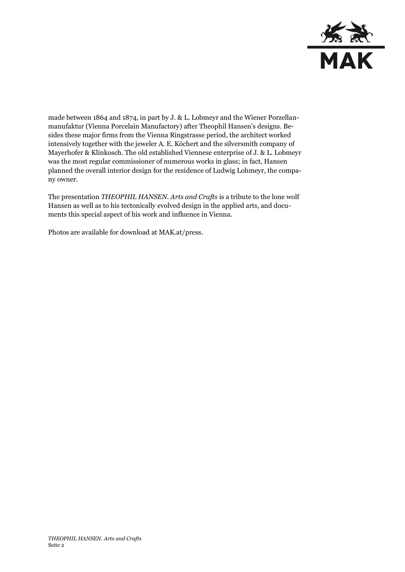

made between 1864 and 1874, in part by J. & L. Lobmeyr and the Wiener Porzellanmanufaktur (Vienna Porcelain Manufactory) after Theophil Hansen's designs. Besides these major firms from the Vienna Ringstrasse period, the architect worked intensively together with the jeweler A. E. Köchert and the silversmith company of Mayerhofer & Klinkosch. The old established Viennese enterprise of J. & L. Lobmeyr was the most regular commissioner of numerous works in glass; in fact, Hansen planned the overall interior design for the residence of Ludwig Lohmeyr, the company owner.

The presentation *THEOPHIL HANSEN. Arts and Crafts* is a tribute to the lone wolf Hansen as well as to his tectonically evolved design in the applied arts, and documents this special aspect of his work and influence in Vienna.

Photos are available for download at MAK.at/press.